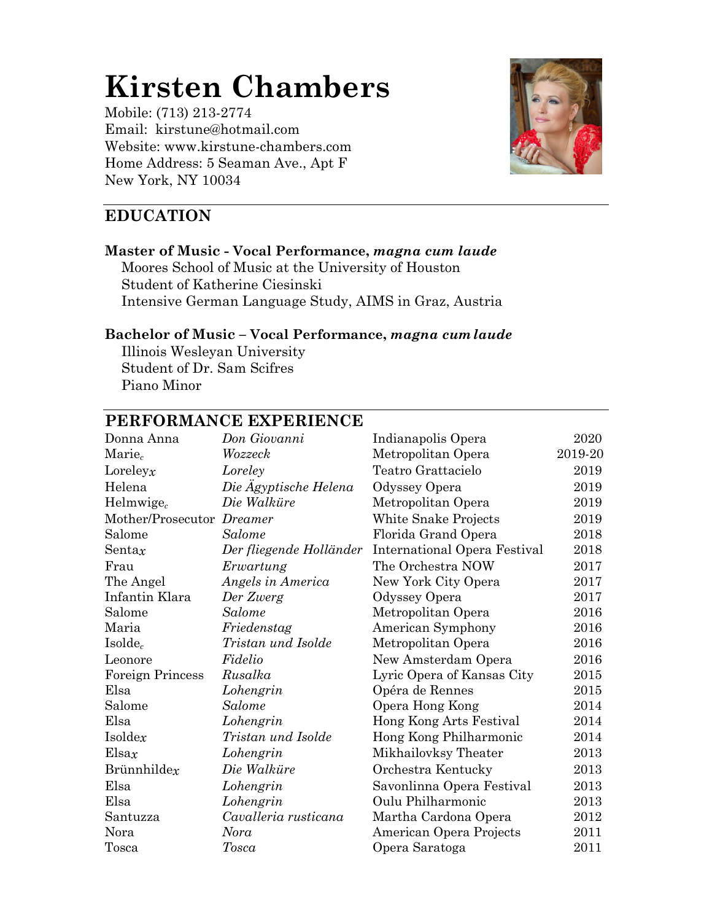# **Kirsten Chambers**

Mobile: (713) 213-2774 Email: kirstune@hotmail.com Website: www.kirstune-chambers.com Home Address: 5 Seaman Ave., Apt F New York, NY 10034



# **EDUCATION**

#### **Master of Music - Vocal Performance,** *magna cum laude* Moores School of Music at the University of Houston Student of Katherine Ciesinski

Intensive German Language Study, AIMS in Graz, Austria

## **Bachelor of Music – Vocal Performance,** *magna cumlaude*

Illinois Wesleyan University Student of Dr. Sam Scifres Piano Minor

# **PERFORMANCE EXPERIENCE**

| Donna Anna                | Don Giovanni            | Indianapolis Opera           | 2020    |
|---------------------------|-------------------------|------------------------------|---------|
| $\text{Marie}_c$          | Wozzeck                 | Metropolitan Opera           | 2019-20 |
| Loreleyx                  | Loreley                 | Teatro Grattacielo           | 2019    |
| Helena                    | Die Ägyptische Helena   | Odyssey Opera                | 2019    |
| Helmwige $_c$             | Die Walküre             | Metropolitan Opera           | 2019    |
| Mother/Prosecutor Dreamer |                         | White Snake Projects         | 2019    |
| Salome                    | Salome                  | Florida Grand Opera          | 2018    |
| Sentax                    | Der fliegende Holländer | International Opera Festival | 2018    |
| Frau                      | Erwartung               | The Orchestra NOW            | 2017    |
| The Angel                 | Angels in America       | New York City Opera          | 2017    |
| Infantin Klara            | Der Zwerg               | Odyssey Opera                | 2017    |
| Salome                    | <b>Salome</b>           | Metropolitan Opera           | 2016    |
| Maria                     | Friedenstag             | American Symphony            | 2016    |
| $Isolde_c$                | Tristan und Isolde      | Metropolitan Opera           | 2016    |
| Leonore                   | Fidelio                 | New Amsterdam Opera          | 2016    |
| <b>Foreign Princess</b>   | Rusalka                 | Lyric Opera of Kansas City   | 2015    |
| Elsa                      | Lohengrin               | Opéra de Rennes              | 2015    |
| Salome                    | Salome                  | Opera Hong Kong              | 2014    |
| Elsa                      | Lohengrin               | Hong Kong Arts Festival      | 2014    |
| Isoldeg                   | Tristan und Isolde      | Hong Kong Philharmonic       | 2014    |
| $E$ lsax                  | Lohengrin               | Mikhailovksy Theater         | 2013    |
| Brünnhildex               | Die Walküre             | Orchestra Kentucky           | 2013    |
| Elsa                      | Lohengrin               | Savonlinna Opera Festival    | 2013    |
| Elsa                      | Lohengrin               | Oulu Philharmonic            | 2013    |
| Santuzza                  | Cavalleria rusticana    | Martha Cardona Opera         | 2012    |
| Nora                      | Nora                    | American Opera Projects      | 2011    |
| Tosca                     | <b>Tosca</b>            | Opera Saratoga               | 2011    |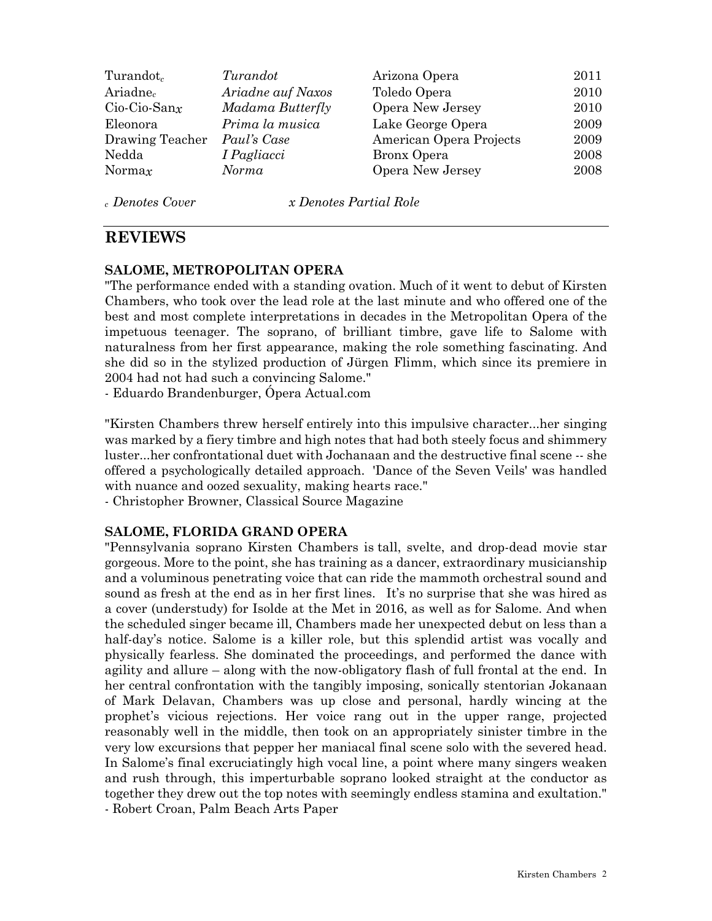| $Turandot_c$         | Turandot          | Arizona Opera           | 2011 |
|----------------------|-------------------|-------------------------|------|
| Ariadne <sub>c</sub> | Ariadne auf Naxos | Toledo Opera            | 2010 |
| $Cio-Cio-Sanx$       | Madama Butterfly  | Opera New Jersey        | 2010 |
| Eleonora             | Prima la musica   | Lake George Opera       | 2009 |
| Drawing Teacher      | Paul's Case       | American Opera Projects | 2009 |
| Nedda                | I Pagliacci       | Bronx Opera             | 2008 |
| Norma $x$            | Norma             | Opera New Jersey        | 2008 |
|                      |                   |                         |      |

*c Denotes Cover x Denotes Partial Role*

## **REVIEWS**

#### **SALOME, METROPOLITAN OPERA**

"The performance ended with a standing ovation. Much of it went to debut of Kirsten Chambers, who took over the lead role at the last minute and who offered one of the best and most complete interpretations in decades in the Metropolitan Opera of the impetuous teenager. The soprano, of brilliant timbre, gave life to Salome with naturalness from her first appearance, making the role something fascinating. And she did so in the stylized production of Jürgen Flimm, which since its premiere in 2004 had not had such a convincing Salome."

- Eduardo Brandenburger, Ópera Actual.com

"Kirsten Chambers threw herself entirely into this impulsive character...her singing was marked by a fiery timbre and high notes that had both steely focus and shimmery luster...her confrontational duet with Jochanaan and the destructive final scene -- she offered a psychologically detailed approach. 'Dance of the Seven Veils' was handled with nuance and oozed sexuality, making hearts race."

- Christopher Browner, Classical Source Magazine

#### **SALOME, FLORIDA GRAND OPERA**

"Pennsylvania soprano Kirsten Chambers is tall, svelte, and drop-dead movie star gorgeous. More to the point, she has training as a dancer, extraordinary musicianship and a voluminous penetrating voice that can ride the mammoth orchestral sound and sound as fresh at the end as in her first lines. It's no surprise that she was hired as a cover (understudy) for Isolde at the Met in 2016, as well as for Salome. And when the scheduled singer became ill, Chambers made her unexpected debut on less than a half-day's notice. Salome is a killer role, but this splendid artist was vocally and physically fearless. She dominated the proceedings, and performed the dance with agility and allure – along with the now-obligatory flash of full frontal at the end. In her central confrontation with the tangibly imposing, sonically stentorian Jokanaan of Mark Delavan, Chambers was up close and personal, hardly wincing at the prophet's vicious rejections. Her voice rang out in the upper range, projected reasonably well in the middle, then took on an appropriately sinister timbre in the very low excursions that pepper her maniacal final scene solo with the severed head. In Salome's final excruciatingly high vocal line, a point where many singers weaken and rush through, this imperturbable soprano looked straight at the conductor as together they drew out the top notes with seemingly endless stamina and exultation." - Robert Croan, Palm Beach Arts Paper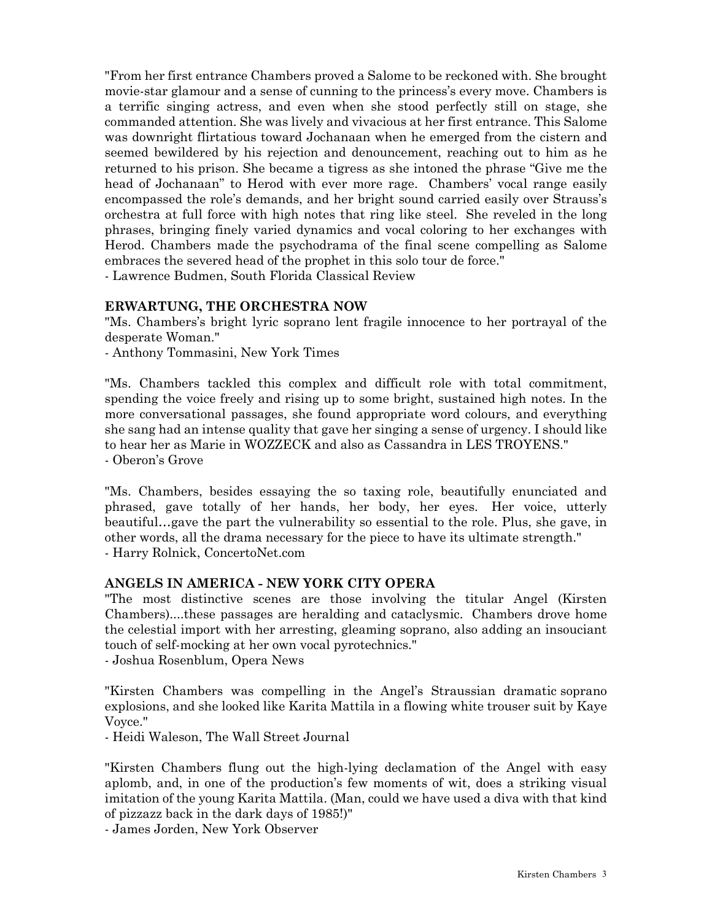"From her first entrance Chambers proved a Salome to be reckoned with. She brought movie-star glamour and a sense of cunning to the princess's every move. Chambers is a terrific singing actress, and even when she stood perfectly still on stage, she commanded attention. She was lively and vivacious at her first entrance. This Salome was downright flirtatious toward Jochanaan when he emerged from the cistern and seemed bewildered by his rejection and denouncement, reaching out to him as he returned to his prison. She became a tigress as she intoned the phrase "Give me the head of Jochanaan" to Herod with ever more rage. Chambers' vocal range easily encompassed the role's demands, and her bright sound carried easily over Strauss's orchestra at full force with high notes that ring like steel. She reveled in the long phrases, bringing finely varied dynamics and vocal coloring to her exchanges with Herod. Chambers made the psychodrama of the final scene compelling as Salome embraces the severed head of the prophet in this solo tour de force."

- Lawrence Budmen, South Florida Classical Review

#### **ERWARTUNG, THE ORCHESTRA NOW**

"Ms. Chambers's bright lyric soprano lent fragile innocence to her portrayal of the desperate Woman."

- Anthony Tommasini, New York Times

"Ms. Chambers tackled this complex and difficult role with total commitment, spending the voice freely and rising up to some bright, sustained high notes. In the more conversational passages, she found appropriate word colours, and everything she sang had an intense quality that gave her singing a sense of urgency. I should like to hear her as Marie in WOZZECK and also as Cassandra in LES TROYENS." - Oberon's Grove

"Ms. Chambers, besides essaying the so taxing role, beautifully enunciated and phrased, gave totally of her hands, her body, her eyes. Her voice, utterly beautiful…gave the part the vulnerability so essential to the role. Plus, she gave, in other words, all the drama necessary for the piece to have its ultimate strength." - Harry Rolnick, ConcertoNet.com

#### **ANGELS IN AMERICA - NEW YORK CITY OPERA**

"The most distinctive scenes are those involving the titular Angel (Kirsten Chambers)....these passages are heralding and cataclysmic. Chambers drove home the celestial import with her arresting, gleaming soprano, also adding an insouciant touch of self-mocking at her own vocal pyrotechnics."

- Joshua Rosenblum, Opera News

"Kirsten Chambers was compelling in the Angel's Straussian dramatic soprano explosions, and she looked like Karita Mattila in a flowing white trouser suit by Kaye Voyce."

- Heidi Waleson, The Wall Street Journal

"Kirsten Chambers flung out the high-lying declamation of the Angel with easy aplomb, and, in one of the production's few moments of wit, does a striking visual imitation of the young Karita Mattila. (Man, could we have used a diva with that kind of pizzazz back in the dark days of 1985!)"

- James Jorden, New York Observer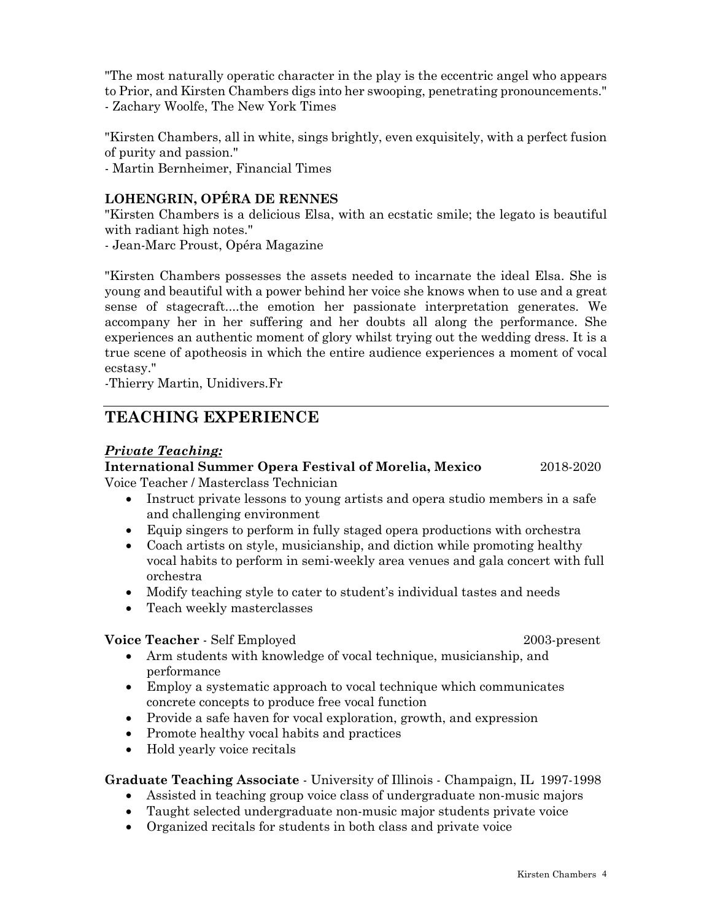"The most naturally operatic character in the play is the eccentric angel who appears to Prior, and Kirsten Chambers digs into her swooping, penetrating pronouncements." - Zachary Woolfe, The New York Times

"Kirsten Chambers, all in white, sings brightly, even exquisitely, with a perfect fusion of purity and passion."

- Martin Bernheimer, Financial Times

## **LOHENGRIN, OPÉRA DE RENNES**

"Kirsten Chambers is a delicious Elsa, with an ecstatic smile; the legato is beautiful with radiant high notes."

- Jean-Marc Proust, Opéra Magazine

"Kirsten Chambers possesses the assets needed to incarnate the ideal Elsa. She is young and beautiful with a power behind her voice she knows when to use and a great sense of stagecraft....the emotion her passionate interpretation generates. We accompany her in her suffering and her doubts all along the performance. She experiences an authentic moment of glory whilst trying out the wedding dress. It is a true scene of apotheosis in which the entire audience experiences a moment of vocal ecstasy."

-Thierry Martin, Unidivers.Fr

# **TEACHING EXPERIENCE**

#### *Private Teaching:*

#### **International Summer Opera Festival of Morelia, Mexico** 2018-2020

Voice Teacher / Masterclass Technician

- Instruct private lessons to young artists and opera studio members in a safe and challenging environment
- Equip singers to perform in fully staged opera productions with orchestra
- Coach artists on style, musicianship, and diction while promoting healthy vocal habits to perform in semi-weekly area venues and gala concert with full orchestra
- Modify teaching style to cater to student's individual tastes and needs
- Teach weekly masterclasses

#### **Voice Teacher** - Self Employed 2003-present

- Arm students with knowledge of vocal technique, musicianship, and performance
- Employ a systematic approach to yocal technique which communicates concrete concepts to produce free vocal function
- Provide a safe haven for vocal exploration, growth, and expression
- Promote healthy vocal habits and practices
- Hold yearly voice recitals

#### **Graduate Teaching Associate** - University of Illinois - Champaign, IL 1997-1998

- Assisted in teaching group voice class of undergraduate non-music majors
- Taught selected undergraduate non-music major students private voice
- Organized recitals for students in both class and private voice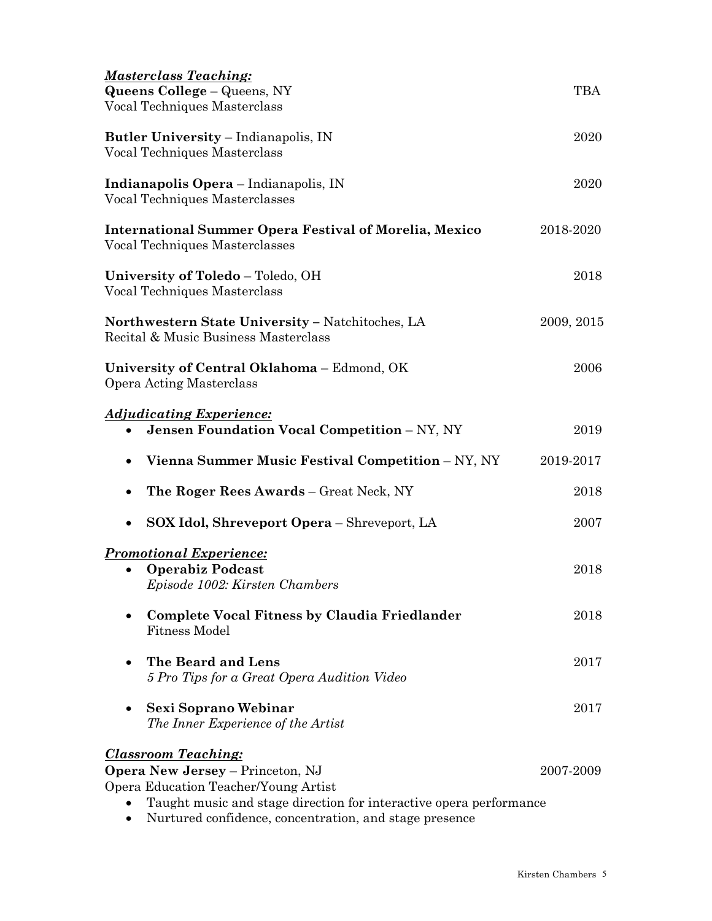| <b>Masterclass Teaching:</b><br>Queens College - Queens, NY<br>Vocal Techniques Masterclass                                                                                                                                                   | TBA        |  |
|-----------------------------------------------------------------------------------------------------------------------------------------------------------------------------------------------------------------------------------------------|------------|--|
| <b>Butler University - Indianapolis, IN</b><br>Vocal Techniques Masterclass                                                                                                                                                                   | 2020       |  |
| Indianapolis Opera - Indianapolis, IN<br>Vocal Techniques Masterclasses                                                                                                                                                                       |            |  |
| <b>International Summer Opera Festival of Morelia, Mexico</b><br>Vocal Techniques Masterclasses                                                                                                                                               | 2018-2020  |  |
| University of Toledo - Toledo, OH<br>Vocal Techniques Masterclass                                                                                                                                                                             | 2018       |  |
| Northwestern State University - Natchitoches, LA<br>Recital & Music Business Masterclass                                                                                                                                                      | 2009, 2015 |  |
| University of Central Oklahoma - Edmond, OK<br><b>Opera Acting Masterclass</b>                                                                                                                                                                | 2006       |  |
| <u><b>Adjudicating Experience:</b></u><br><b>Jensen Foundation Vocal Competition - NY, NY</b><br>٠                                                                                                                                            | 2019       |  |
| Vienna Summer Music Festival Competition – NY, NY                                                                                                                                                                                             | 2019-2017  |  |
| <b>The Roger Rees Awards – Great Neck, NY</b>                                                                                                                                                                                                 | 2018       |  |
| <b>SOX Idol, Shreveport Opera</b> – Shreveport, LA<br>$\bullet$                                                                                                                                                                               | 2007       |  |
| <b>Promotional Experience:</b><br><b>Operabiz Podcast</b><br>Episode 1002: Kirsten Chambers                                                                                                                                                   | 2018       |  |
| <b>Complete Vocal Fitness by Claudia Friedlander</b><br><b>Fitness Model</b>                                                                                                                                                                  | 2018       |  |
| The Beard and Lens<br>5 Pro Tips for a Great Opera Audition Video                                                                                                                                                                             | 2017       |  |
| Sexi Soprano Webinar<br>The Inner Experience of the Artist                                                                                                                                                                                    | 2017       |  |
| <b>Classroom Teaching:</b><br><b>Opera New Jersey</b> – Princeton, NJ<br>Opera Education Teacher/Young Artist<br>Taught music and stage direction for interactive opera performance<br>Nurtured confidence, concentration, and stage presence | 2007-2009  |  |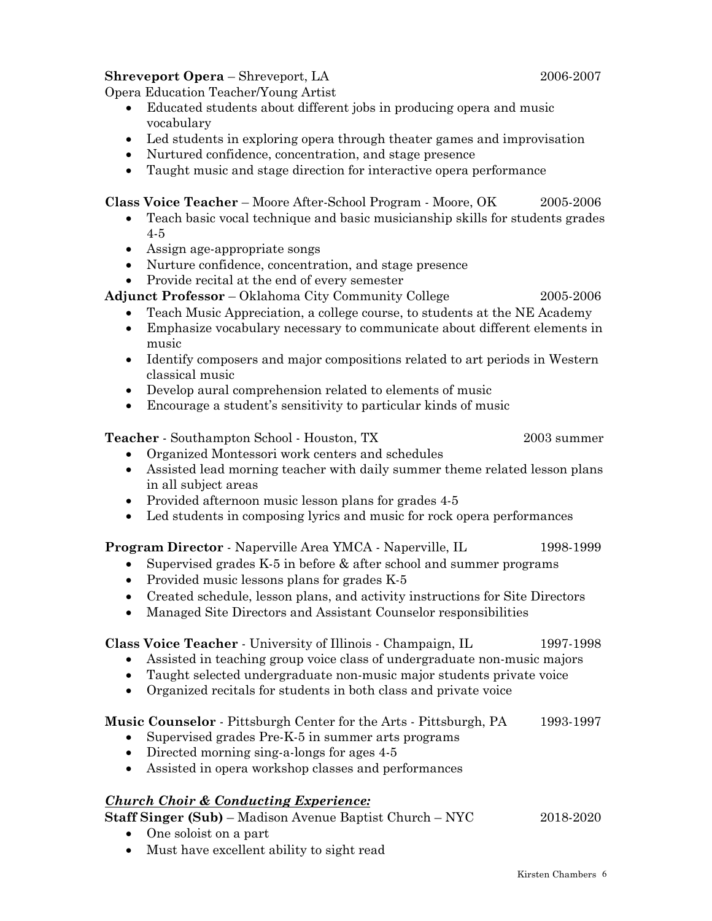#### **Shreveport Opera** – Shreveport, LA 2006-2007

Opera Education Teacher/Young Artist

- Educated students about different jobs in producing opera and music vocabulary
- Led students in exploring opera through theater games and improvisation
- Nurtured confidence, concentration, and stage presence
- Taught music and stage direction for interactive opera performance

**Class Voice Teacher** – Moore After-School Program - Moore, OK 2005-2006

- Teach basic vocal technique and basic musicianship skills for students grades 4-5
- Assign age-appropriate songs
- Nurture confidence, concentration, and stage presence
- Provide recital at the end of every semester

**Adjunct Professor** – Oklahoma City Community College 2005-2006

- Teach Music Appreciation, a college course, to students at the NE Academy
- Emphasize vocabulary necessary to communicate about different elements in music
- Identify composers and major compositions related to art periods in Western classical music
- Develop aural comprehension related to elements of music
- Encourage a student's sensitivity to particular kinds of music

**Teacher** - Southampton School - Houston, TX 2003 summer

- Organized Montessori work centers and schedules
- Assisted lead morning teacher with daily summer theme related lesson plans in all subject areas
- Provided afternoon music lesson plans for grades 4-5
- Led students in composing lyrics and music for rock opera performances

**Program Director** - Naperville Area YMCA - Naperville, IL 1998-1999

- Supervised grades K-5 in before & after school and summer programs
- Provided music lessons plans for grades K-5
- Created schedule, lesson plans, and activity instructions for Site Directors
- Managed Site Directors and Assistant Counselor responsibilities

#### **Class Voice Teacher** - University of Illinois - Champaign, IL 1997-1998

- Assisted in teaching group voice class of undergraduate non-music majors
- Taught selected undergraduate non-music major students private voice
- Organized recitals for students in both class and private voice

#### **Music Counselor** - Pittsburgh Center for the Arts - Pittsburgh, PA 1993-1997

- Supervised grades Pre-K-5 in summer arts programs
- Directed morning sing-a-longs for ages 4-5
- Assisted in opera workshop classes and performances

## *Church Choir & Conducting Experience:*

**Staff Singer (Sub)** – Madison Avenue Baptist Church – NYC 2018-2020

- One soloist on a part
- Must have excellent ability to sight read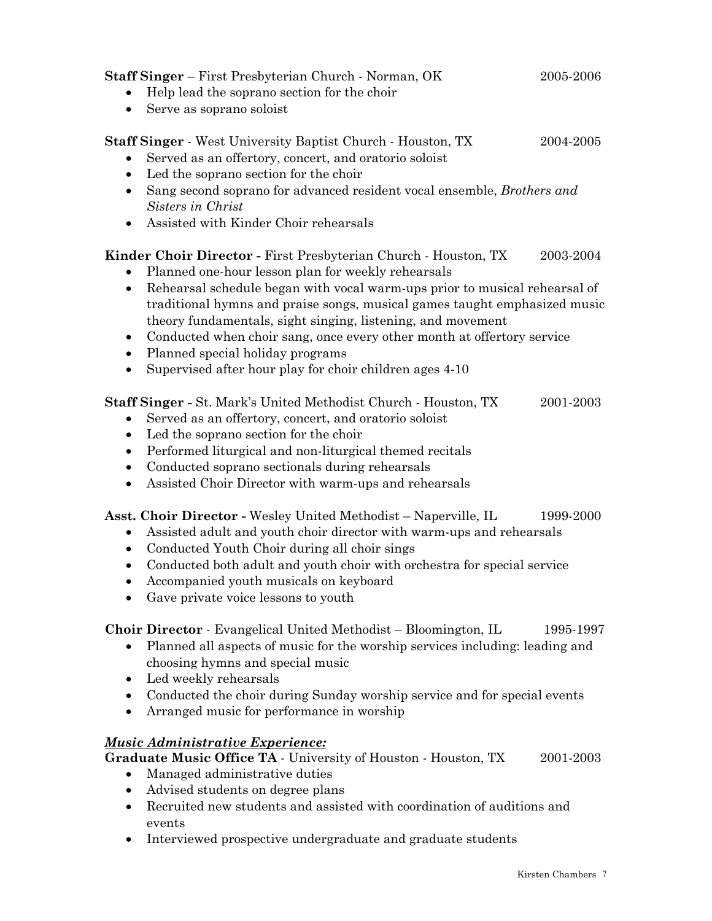**Staff Singer** – First Presbyterian Church - Norman, OK 2005-2006 • Help lead the soprano section for the choir • Serve as soprano soloist **Staff Singer** - West University Baptist Church - Houston, TX 2004-2005 • Served as an offertory, concert, and oratorio soloist • Led the soprano section for the choir

- Sang second soprano for advanced resident vocal ensemble, *Brothers and Sisters in Christ*
- Assisted with Kinder Choir rehearsals

## **Kinder Choir Director -** First Presbyterian Church - Houston, TX 2003-2004

- Planned one-hour lesson plan for weekly rehearsals
- Rehearsal schedule began with vocal warm-ups prior to musical rehearsal of traditional hymns and praise songs, musical games taught emphasized music theory fundamentals, sight singing, listening, and movement
- Conducted when choir sang, once every other month at offertory service
- Planned special holiday programs
- Supervised after hour play for choir children ages 4-10

**Staff Singer -** St. Mark's United Methodist Church - Houston, TX 2001-2003

- Served as an offertory, concert, and oratorio soloist
- Led the soprano section for the choir
- Performed liturgical and non-liturgical themed recitals
- Conducted soprano sectionals during rehearsals
- Assisted Choir Director with warm-ups and rehearsals

**Asst. Choir Director -** Wesley United Methodist – Naperville, IL 1999-2000

- Assisted adult and youth choir director with warm-ups and rehearsals
- Conducted Youth Choir during all choir sings
- Conducted both adult and youth choir with orchestra for special service
- Accompanied youth musicals on keyboard
- Gave private voice lessons to youth

**Choir Director** - Evangelical United Methodist – Bloomington, IL 1995-1997

- Planned all aspects of music for the worship services including: leading and choosing hymns and special music
- Led weekly rehearsals
- Conducted the choir during Sunday worship service and for special events
- Arranged music for performance in worship

# *Music Administrative Experience:*

**Graduate Music Office TA** - University of Houston - Houston, TX 2001-2003

- Managed administrative duties
- Advised students on degree plans
- Recruited new students and assisted with coordination of auditions and events
- Interviewed prospective undergraduate and graduate students